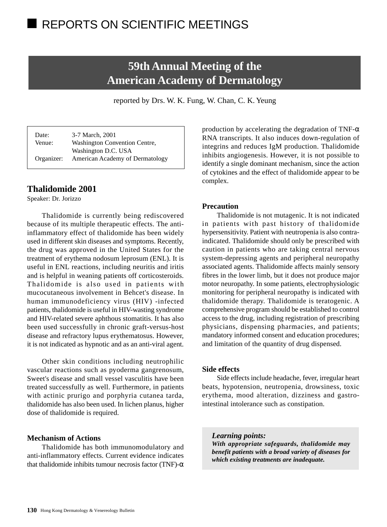# REPORTS ON SCIENTIFIC MEETINGS

# **59th Annual Meeting of the American Academy of Dermatology**

reported by Drs. W. K. Fung, W. Chan, C. K. Yeung

Date: 3-7 March, 2001 Venue: Washington Convention Centre, Washington D.C. USA Organizer: American Academy of Dermatology

## **Thalidomide 2001**

Speaker: Dr. Jorizzo

Thalidomide is currently being rediscovered because of its multiple therapeutic effects. The antiinflammatory effect of thalidomide has been widely used in different skin diseases and symptoms. Recently, the drug was approved in the United States for the treatment of erythema nodosum leprosum (ENL). It is useful in ENL reactions, including neuritis and iritis and is helpful in weaning patients off corticosteroids. Thalidomide is also used in patients with mucocutaneous involvement in Behcet's disease. In human immunodeficiency virus (HIV) -infected patients, thalidomide is useful in HIV-wasting syndrome and HIV-related severe aphthous stomatitis. It has also been used successfully in chronic graft-versus-host disease and refractory lupus erythematosus. However, it is not indicated as hypnotic and as an anti-viral agent.

Other skin conditions including neutrophilic vascular reactions such as pyoderma gangrenosum, Sweet's disease and small vessel vasculitis have been treated successfully as well. Furthermore, in patients with actinic prurigo and porphyria cutanea tarda, thalidomide has also been used. In lichen planus, higher dose of thalidomide is required.

### **Mechanism of Actions**

Thalidomide has both immunomodulatory and anti-inflammatory effects. Current evidence indicates that thalidomide inhibits tumour necrosis factor (TNF)- $\alpha$ 

production by accelerating the degradation of TNF- $\alpha$ RNA transcripts. It also induces down-regulation of integrins and reduces IgM production. Thalidomide inhibits angiogenesis. However, it is not possible to identify a single dominant mechanism, since the action of cytokines and the effect of thalidomide appear to be complex.

## **Precaution**

Thalidomide is not mutagenic. It is not indicated in patients with past history of thalidomide hypersensitivity. Patient with neutropenia is also contraindicated. Thalidomide should only be prescribed with caution in patients who are taking central nervous system-depressing agents and peripheral neuropathy associated agents. Thalidomide affects mainly sensory fibres in the lower limb, but it does not produce major motor neuropathy. In some patients, electrophysiologic monitoring for peripheral neuropathy is indicated with thalidomide therapy. Thalidomide is teratogenic. A comprehensive program should be established to control access to the drug, including registration of prescribing physicians, dispensing pharmacies, and patients; mandatory informed consent and education procedures; and limitation of the quantity of drug dispensed.

## **Side effects**

Side effects include headache, fever, irregular heart beats, hypotension, neutropenia, drowsiness, toxic erythema, mood alteration, dizziness and gastrointestinal intolerance such as constipation.

#### *Learning points:*

*With appropriate safeguards, thalidomide may benefit patients with a broad variety of diseases for which existing treatments are inadequate.*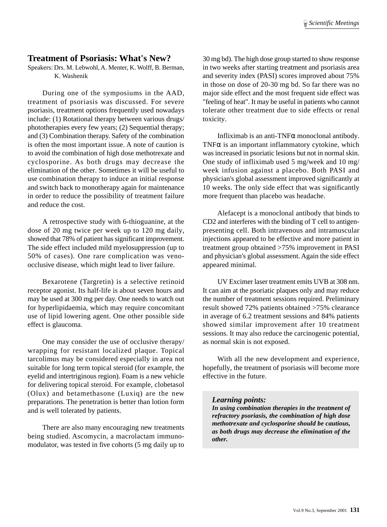# **Treatment of Psoriasis: What's New?**

Speakers: Drs. M. Lebwohl, A. Menter, K. Wolff, B. Berman, K. Washenik

During one of the symposiums in the AAD, treatment of psoriasis was discussed. For severe psoriasis, treatment options frequently used nowadays include: (1) Rotational therapy between various drugs/ phototherapies every few years; (2) Sequential therapy; and (3) Combination therapy. Safety of the combination is often the most important issue. A note of caution is to avoid the combination of high dose methotrexate and cyclosporine. As both drugs may decrease the elimination of the other. Sometimes it will be useful to use combination therapy to induce an initial response and switch back to monotherapy again for maintenance in order to reduce the possibility of treatment failure and reduce the cost.

A retrospective study with 6-thioguanine, at the dose of 20 mg twice per week up to 120 mg daily, showed that 78% of patient has significant improvement. The side effect included mild myelosuppression (up to 50% of cases). One rare complication was venoocclusive disease, which might lead to liver failure.

Bexarotene (Targretin) is a selective retinoid receptor agonist. Its half-life is about seven hours and may be used at 300 mg per day. One needs to watch out for hyperlipidaemia, which may require concomitant use of lipid lowering agent. One other possible side effect is glaucoma.

One may consider the use of occlusive therapy/ wrapping for resistant localized plaque. Topical tarcolimus may be considered especially in area not suitable for long term topical steroid (for example, the eyelid and intertriginous region). Foam is a new vehicle for delivering topical steroid. For example, clobetasol (Olux) and betamethasone (Luxiq) are the new preparations. The penetration is better than lotion form and is well tolerated by patients.

There are also many encouraging new treatments being studied. Ascomycin, a macrolactam immunomodulator, was tested in five cohorts (5 mg daily up to

30 mg bd). The high dose group started to show response in two weeks after starting treatment and psoriasis area and severity index (PASI) scores improved about 75% in those on dose of 20-30 mg bd. So far there was no major side effect and the most frequent side effect was "feeling of heat". It may be useful in patients who cannot tolerate other treatment due to side effects or renal toxicity.

Infliximab is an anti-TNFα monoclonal antibody. TNF $\alpha$  is an important inflammatory cytokine, which was increased in psoriatic lesions but not in normal skin. One study of infliximab used 5 mg/week and 10 mg/ week infusion against a placebo. Both PASI and physician's global assessment improved significantly at 10 weeks. The only side effect that was significantly more frequent than placebo was headache.

Alefacept is a monoclonal antibody that binds to CD2 and interferes with the binding of T cell to antigenpresenting cell. Both intravenous and intramuscular injections appeared to be effective and more patient in treatment group obtained >75% improvement in PASI and physician's global assessment. Again the side effect appeared minimal.

UV Excimer laser treatment emits UVB at 308 nm. It can aim at the psoriatic plaques only and may reduce the number of treatment sessions required. Preliminary result showed 72% patients obtained >75% clearance in average of 6.2 treatment sessions and 84% patients showed similar improvement after 10 treatment sessions. It may also reduce the carcinogenic potential, as normal skin is not exposed.

With all the new development and experience, hopefully, the treatment of psoriasis will become more effective in the future.

#### *Learning points:*

*In using combination therapies in the treatment of refractory psoriasis, the combination of high dose methotrexate and cyclosporine should be cautious, as both drugs may decrease the elimination of the other.*